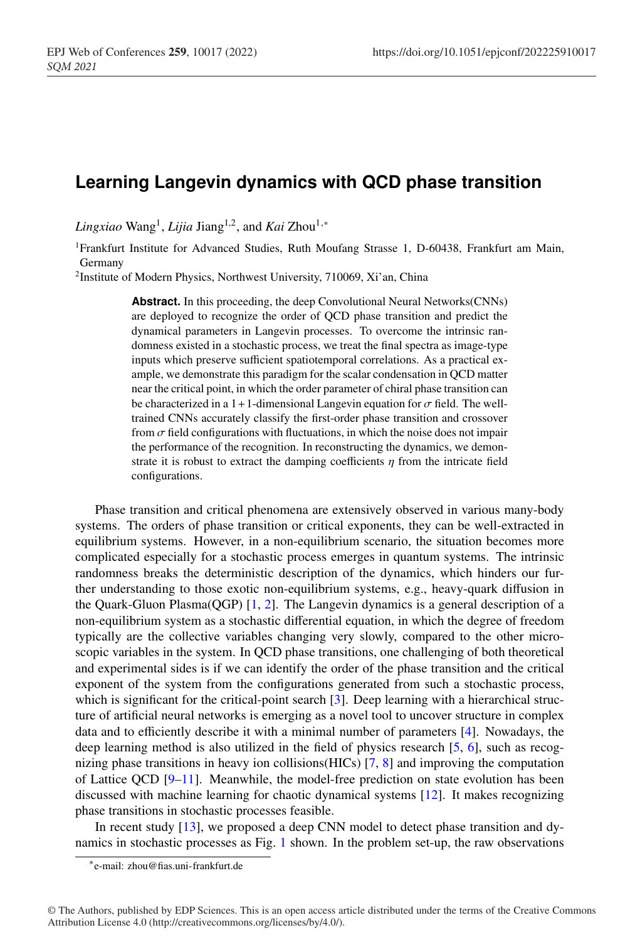## **Learning Langevin dynamics with QCD phase transition**

*Lingxiao* Wang<sup>1</sup>, *Lijia* Jiang<sup>1,2</sup>, and *Kai* Zhou<sup>1,∗</sup>

<sup>1</sup>Frankfurt Institute for Advanced Studies, Ruth Moufang Strasse 1, D-60438, Frankfurt am Main, Germany

<sup>2</sup> Institute of Modern Physics, Northwest University, 710069, Xi'an, China

Abstract. In this proceeding, the deep Convolutional Neural Networks(CNNs) are deployed to recognize the order of QCD phase transition and predict the dynamical parameters in Langevin processes. To overcome the intrinsic randomness existed in a stochastic process, we treat the final spectra as image-type inputs which preserve sufficient spatiotemporal correlations. As a practical example, we demonstrate this paradigm for the scalar condensation in QCD matter near the critical point, in which the order parameter of chiral phase transition can be characterized in a 1+1-dimensional Langevin equation for  $\sigma$  field. The welltrained CNNs accurately classify the first-order phase transition and crossover from  $\sigma$  field configurations with fluctuations, in which the noise does not impair the performance of the recognition. In reconstructing the dynamics, we demonstrate it is robust to extract the damping coefficients  $\eta$  from the intricate field configurations.

Phase transition and critical phenomena are extensively observed in various many-body systems. The orders of phase transition or critical exponents, they can be well-extracted in equilibrium systems. However, in a non-equilibrium scenario, the situation becomes more complicated especially for a stochastic process emerges in quantum systems. The intrinsic randomness breaks the deterministic description of the dynamics, which hinders our further understanding to those exotic non-equilibrium systems, e.g., heavy-quark diffusion in the Quark-Gluon Plasma(QGP) [1, 2]. The Langevin dynamics is a general description of a non-equilibrium system as a stochastic differential equation, in which the degree of freedom typically are the collective variables changing very slowly, compared to the other microscopic variables in the system. In QCD phase transitions, one challenging of both theoretical and experimental sides is if we can identify the order of the phase transition and the critical exponent of the system from the configurations generated from such a stochastic process, which is significant for the critical-point search [3]. Deep learning with a hierarchical structure of artificial neural networks is emerging as a novel tool to uncover structure in complex data and to efficiently describe it with a minimal number of parameters [4]. Nowadays, the deep learning method is also utilized in the field of physics research [5, 6], such as recognizing phase transitions in heavy ion collisions(HICs) [7, 8] and improving the computation of Lattice QCD  $[9-11]$ . Meanwhile, the model-free prediction on state evolution has been discussed with machine learning for chaotic dynamical systems [12]. It makes recognizing phase transitions in stochastic processes feasible.

In recent study [13], we proposed a deep CNN model to detect phase transition and dynamics in stochastic processes as Fig. 1 shown. In the problem set-up, the raw observations

<sup>∗</sup>e-mail: zhou@fias.uni-frankfurt.de

<sup>©</sup> The Authors, published by EDP Sciences. This is an open access article distributed under the terms of the Creative Commons Attribution License 4.0 (http://creativecommons.org/licenses/by/4.0/).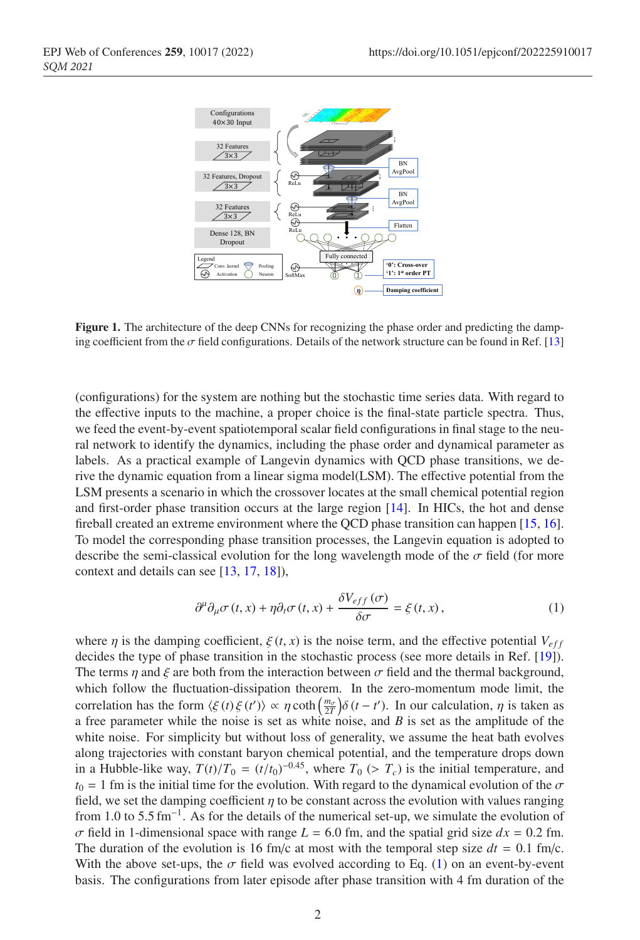

Figure 1. The architecture of the deep CNNs for recognizing the phase order and predicting the damping coefficient from the  $\sigma$  field configurations. Details of the network structure can be found in Ref. [13]

(configurations) for the system are nothing but the stochastic time series data. With regard to the effective inputs to the machine, a proper choice is the final-state particle spectra. Thus, we feed the event-by-event spatiotemporal scalar field configurations in final stage to the neural network to identify the dynamics, including the phase order and dynamical parameter as labels. As a practical example of Langevin dynamics with QCD phase transitions, we derive the dynamic equation from a linear sigma model(LSM). The effective potential from the LSM presents a scenario in which the crossover locates at the small chemical potential region and first-order phase transition occurs at the large region [14]. In HICs, the hot and dense fireball created an extreme environment where the QCD phase transition can happen [15, 16]. To model the corresponding phase transition processes, the Langevin equation is adopted to describe the semi-classical evolution for the long wavelength mode of the  $\sigma$  field (for more context and details can see [13, 17, 18]),

$$
\partial^{\mu}\partial_{\mu}\sigma(t,x) + \eta \partial_{t}\sigma(t,x) + \frac{\delta V_{eff}(\sigma)}{\delta \sigma} = \xi(t,x),
$$
\n(1)

where  $\eta$  is the damping coefficient,  $\xi(t, x)$  is the noise term, and the effective potential  $V_{eff}$ decides the type of phase transition in the stochastic process (see more details in Ref. [19]). The terms  $\eta$  and  $\xi$  are both from the interaction between  $\sigma$  field and the thermal background, which follow the fluctuation-dissipation theorem. In the zero-momentum mode limit, the correlation has the form  $\langle \xi(t) \xi(t') \rangle \propto \eta \coth\left(\frac{m_{\sigma}}{2T}\right) \delta(t-t')$ . In our calculation,  $\eta$  is taken as a free parameter while the noise is set as white noise, and *B* is set as the amplitude of the white noise. For simplicity but without loss of generality, we assume the heat bath evolves along trajectories with constant baryon chemical potential, and the temperature drops down in a Hubble-like way,  $T(t)/T_0 = (t/t_0)^{-0.45}$ , where  $T_0$  (>  $T_c$ ) is the initial temperature, and  $t_0 = 1$  fm is the initial time for the evolution. With regard to the dynamical evolution of the  $\sigma$ field, we set the damping coefficient  $\eta$  to be constant across the evolution with values ranging from 1.0 to 5.5 fm<sup>-1</sup>. As for the details of the numerical set-up, we simulate the evolution of  $\sigma$  field in 1-dimensional space with range  $L = 6.0$  fm, and the spatial grid size  $dx = 0.2$  fm. The duration of the evolution is 16 fm/c at most with the temporal step size  $dt = 0.1$  fm/c. With the above set-ups, the  $\sigma$  field was evolved according to Eq. (1) on an event-by-event basis. The configurations from later episode after phase transition with 4 fm duration of the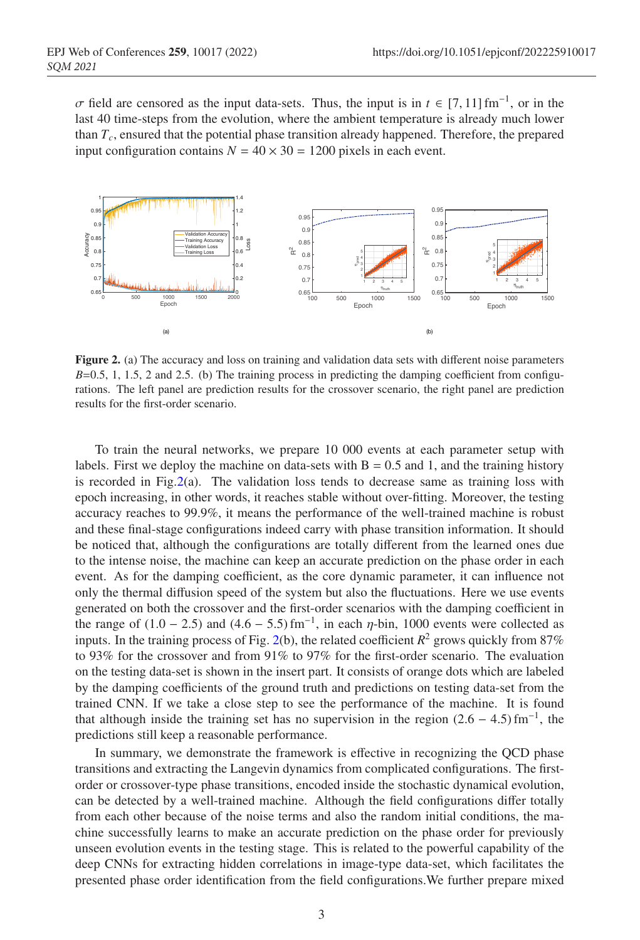$\sigma$  field are censored as the input data-sets. Thus, the input is in  $t \in [7, 11]$  fm<sup>-1</sup>, or in the last 40 time-steps from the evolution, where the ambient temperature is already much lower than  $T_c$ , ensured that the potential phase transition already happened. Therefore, the prepared input configuration contains  $N = 40 \times 30 = 1200$  pixels in each event.



Figure 2. (a) The accuracy and loss on training and validation data sets with different noise parameters  $B=0.5, 1, 1.5, 2$  and 2.5. (b) The training process in predicting the damping coefficient from configurations. The left panel are prediction results for the crossover scenario, the right panel are prediction results for the first-order scenario.

To train the neural networks, we prepare 10 000 events at each parameter setup with labels. First we deploy the machine on data-sets with  $B = 0.5$  and 1, and the training history is recorded in Fig.  $2(a)$ . The validation loss tends to decrease same as training loss with epoch increasing, in other words, it reaches stable without over-fitting. Moreover, the testing accuracy reaches to 99.9%, it means the performance of the well-trained machine is robust and these final-stage configurations indeed carry with phase transition information. It should be noticed that, although the configurations are totally different from the learned ones due to the intense noise, the machine can keep an accurate prediction on the phase order in each event. As for the damping coefficient, as the core dynamic parameter, it can influence not only the thermal diffusion speed of the system but also the fluctuations. Here we use events generated on both the crossover and the first-order scenarios with the damping coefficient in the range of  $(1.0 - 2.5)$  and  $(4.6 - 5.5)$  fm<sup>-1</sup>, in each  $\eta$ -bin, 1000 events were collected as inputs. In the training process of Fig. 2(b), the related coefficient  $R^2$  grows quickly from 87% to 93% for the crossover and from 91% to 97% for the first-order scenario. The evaluation on the testing data-set is shown in the insert part. It consists of orange dots which are labeled by the damping coefficients of the ground truth and predictions on testing data-set from the trained CNN. If we take a close step to see the performance of the machine. It is found that although inside the training set has no supervision in the region  $(2.6 - 4.5)$  fm<sup>-1</sup>, the predictions still keep a reasonable performance.

In summary, we demonstrate the framework is effective in recognizing the QCD phase transitions and extracting the Langevin dynamics from complicated configurations. The firstorder or crossover-type phase transitions, encoded inside the stochastic dynamical evolution, can be detected by a well-trained machine. Although the field configurations differ totally from each other because of the noise terms and also the random initial conditions, the machine successfully learns to make an accurate prediction on the phase order for previously unseen evolution events in the testing stage. This is related to the powerful capability of the deep CNNs for extracting hidden correlations in image-type data-set, which facilitates the presented phase order identification from the field configurations.We further prepare mixed